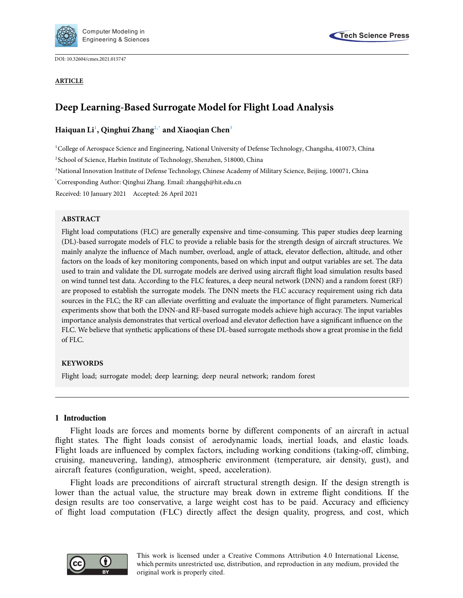

DOI: [10.32604/cmes.2021.015747](http://dx.doi.org/10.32604/cmes.2021.015747)

#### **ARTICLE**



# **Deep Learning-Based Surrogate Model for Flight Load Analysis**

# **Haiquan L[i1](#page-0-0) , Qinghui Zhan[g2,](#page-0-1)[\\*](#page-0-2) and Xiaoqian Che[n3](#page-0-3)**

<span id="page-0-0"></span>1 College of Aerospace Science and Engineering, National University of Defense Technology, Changsha, 410073, China

<span id="page-0-1"></span><sup>2</sup>School of Science, Harbin Institute of Technology, Shenzhen, 518000, China

<span id="page-0-3"></span><sup>3</sup>National Innovation Institute of Defense Technology, Chinese Academy of Military Science, Beijing, 100071, China

<span id="page-0-2"></span>\* Corresponding Author: Qinghui Zhang. Email: zhangqh@hit.edu.cn

Received: 10 January 2021 Accepted: 26 April 2021

## **ABSTRACT**

Flight load computations (FLC) are generally expensive and time-consuming. This paper studies deep learning (DL)-based surrogate models of FLC to provide a reliable basis for the strength design of aircraft structures. We mainly analyze the influence of Mach number, overload, angle of attack, elevator deflection, altitude, and other factors on the loads of key monitoring components, based on which input and output variables are set. The data used to train and validate the DL surrogate models are derived using aircraft flight load simulation results based on wind tunnel test data. According to the FLC features, a deep neural network (DNN) and a random forest (RF) are proposed to establish the surrogate models. The DNN meets the FLC accuracy requirement using rich data sources in the FLC; the RF can alleviate overfitting and evaluate the importance of flight parameters. Numerical experiments show that both the DNN-and RF-based surrogate models achieve high accuracy. The input variables importance analysis demonstrates that vertical overload and elevator deflection have a significant influence on the FLC. We believe that synthetic applications of these DL-based surrogate methods show a great promise in the field of FLC.

## **KEYWORDS**

Flight load; surrogate model; deep learning; deep neural network; random forest

## **1 Introduction**

Flight loads are forces and moments borne by different components of an aircraft in actual flight states. The flight loads consist of aerodynamic loads, inertial loads, and elastic loads. Flight loads are influenced by complex factors, including working conditions (taking-off, climbing, cruising, maneuvering, landing), atmospheric environment (temperature, air density, gust), and aircraft features (configuration, weight, speed, acceleration).

Flight loads are preconditions of aircraft structural strength design. If the design strength is lower than the actual value, the structure may break down in extreme flight conditions. If the design results are too conservative, a large weight cost has to be paid. Accuracy and efficiency of flight load computation (FLC) directly affect the design quality, progress, and cost, which

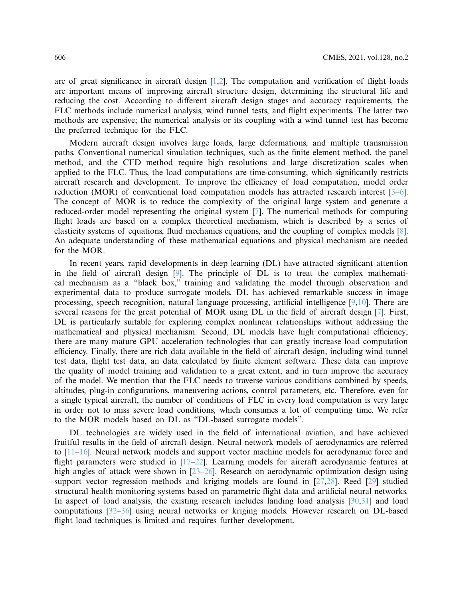are of great significance in aircraft design  $[1,2]$  $[1,2]$  $[1,2]$ . The computation and verification of flight loads are important means of improving aircraft structure design, determining the structural life and reducing the cost. According to different aircraft design stages and accuracy requirements, the FLC methods include numerical analysis, wind tunnel tests, and flight experiments. The latter two methods are expensive; the numerical analysis or its coupling with a wind tunnel test has become the preferred technique for the FLC.

Modern aircraft design involves large loads, large deformations, and multiple transmission paths. Conventional numerical simulation techniques, such as the finite element method, the panel method, and the CFD method require high resolutions and large discretization scales when applied to the FLC. Thus, the load computations are time-consuming, which significantly restricts aircraft research and development. To improve the efficiency of load computation, model order reduction (MOR) of conventional load computation models has attracted research interest [\[3](#page-15-2)[–6](#page-15-3)]. The concept of MOR is to reduce the complexity of the original large system and generate a reduced-order model representing the original system [\[7\]](#page-15-4). The numerical methods for computing flight loads are based on a complex theoretical mechanism, which is described by a series of elasticity systems of equations, fluid mechanics equations, and the coupling of complex models [\[8](#page-15-5)]. An adequate understanding of these mathematical equations and physical mechanism are needed for the MOR.

In recent years, rapid developments in deep learning (DL) have attracted significant attention in the field of aircraft design [\[9\]](#page-15-6). The principle of DL is to treat the complex mathematical mechanism as a "black box," training and validating the model through observation and experimental data to produce surrogate models. DL has achieved remarkable success in image processing, speech recognition, natural language processing, artificial intelligence [\[9](#page-15-6)[,10](#page-15-7)]. There are several reasons for the great potential of MOR using DL in the field of aircraft design [\[7\]](#page-15-4). First, DL is particularly suitable for exploring complex nonlinear relationships without addressing the mathematical and physical mechanism. Second, DL models have high computational efficiency; there are many mature GPU acceleration technologies that can greatly increase load computation efficiency. Finally, there are rich data available in the field of aircraft design, including wind tunnel test data, flight test data, an data calculated by finite element software. These data can improve the quality of model training and validation to a great extent, and in turn improve the accuracy of the model. We mention that the FLC needs to traverse various conditions combined by speeds, altitudes, plug-in configurations, maneuvering actions, control parameters, etc. Therefore, even for a single typical aircraft, the number of conditions of FLC in every load computation is very large in order not to miss severe load conditions, which consumes a lot of computing time. We refer to the MOR models based on DL as "DL-based surrogate models".

DL technologies are widely used in the field of international aviation, and have achieved fruitful results in the field of aircraft design. Neural network models of aerodynamics are referred to [\[11](#page-15-8)[–16\]](#page-15-9). Neural network models and support vector machine models for aerodynamic force and flight parameters were studied in [\[17](#page-15-10)[–22\]](#page-16-0). Learning models for aircraft aerodynamic features at high angles of attack were shown in [\[23](#page-16-1)[–26](#page-16-2)]. Research on aerodynamic optimization design using support vector regression methods and kriging models are found in  $[27,28]$  $[27,28]$ . Reed  $[29]$  studied structural health monitoring systems based on parametric flight data and artificial neural networks. In aspect of load analysis, the existing research includes landing load analysis [\[30](#page-16-6)[,31\]](#page-16-7) and load computations [\[32](#page-16-8)[–36](#page-16-9)] using neural networks or kriging models. However research on DL-based flight load techniques is limited and requires further development.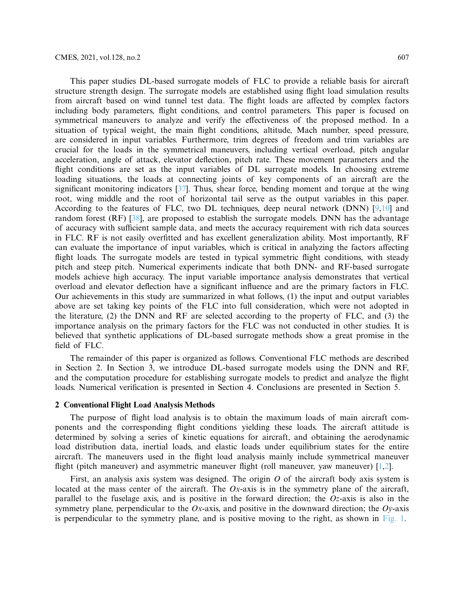This paper studies DL-based surrogate models of FLC to provide a reliable basis for aircraft structure strength design. The surrogate models are established using flight load simulation results from aircraft based on wind tunnel test data. The flight loads are affected by complex factors including body parameters, flight conditions, and control parameters. This paper is focused on symmetrical maneuvers to analyze and verify the effectiveness of the proposed method. In a situation of typical weight, the main flight conditions, altitude, Mach number, speed pressure, are considered in input variables. Furthermore, trim degrees of freedom and trim variables are crucial for the loads in the symmetrical maneuvers, including vertical overload, pitch angular acceleration, angle of attack, elevator deflection, pitch rate. These movement parameters and the flight conditions are set as the input variables of DL surrogate models. In choosing extreme loading situations, the loads at connecting joints of key components of an aircraft are the significant monitoring indicators [\[37\]](#page-16-10). Thus, shear force, bending moment and torque at the wing root, wing middle and the root of horizontal tail serve as the output variables in this paper. According to the features of FLC, two DL techniques, deep neural network (DNN) [\[9](#page-15-6)[,10\]](#page-15-7) and random forest (RF) [\[38](#page-16-11)], are proposed to establish the surrogate models. DNN has the advantage of accuracy with sufficient sample data, and meets the accuracy requirement with rich data sources in FLC. RF is not easily overfitted and has excellent generalization ability. Most importantly, RF can evaluate the importance of input variables, which is critical in analyzing the factors affecting flight loads. The surrogate models are tested in typical symmetric flight conditions, with steady pitch and steep pitch. Numerical experiments indicate that both DNN- and RF-based surrogate models achieve high accuracy. The input variable importance analysis demonstrates that vertical overload and elevator deflection have a significant influence and are the primary factors in FLC. Our achievements in this study are summarized in what follows, (1) the input and output variables above are set taking key points of the FLC into full consideration, which were not adopted in the literature, (2) the DNN and RF are selected according to the property of FLC, and (3) the importance analysis on the primary factors for the FLC was not conducted in other studies. It is believed that synthetic applications of DL-based surrogate methods show a great promise in the field of FLC.

The remainder of this paper is organized as follows. Conventional FLC methods are described in Section 2. In Section 3, we introduce DL-based surrogate models using the DNN and RF, and the computation procedure for establishing surrogate models to predict and analyze the flight loads. Numerical verification is presented in Section 4. Conclusions are presented in Section 5.

#### **2 Conventional Flight Load Analysis Methods**

The purpose of flight load analysis is to obtain the maximum loads of main aircraft components and the corresponding flight conditions yielding these loads. The aircraft attitude is determined by solving a series of kinetic equations for aircraft, and obtaining the aerodynamic load distribution data, inertial loads, and elastic loads under equilibrium states for the entire aircraft. The maneuvers used in the flight load analysis mainly include symmetrical maneuver flight (pitch maneuver) and asymmetric maneuver flight (roll maneuver, yaw maneuver) [\[1](#page-15-0)[,2](#page-15-1)].

First, an analysis axis system was designed. The origin *O* of the aircraft body axis system is located at the mass center of the aircraft. The *Ox*-axis is in the symmetry plane of the aircraft, parallel to the fuselage axis, and is positive in the forward direction; the *Oz*-axis is also in the symmetry plane, perpendicular to the *Ox*-axis, and positive in the downward direction; the *Oy*-axis is perpendicular to the symmetry plane, and is positive moving to the right, as shown in [Fig. 1.](#page-3-0)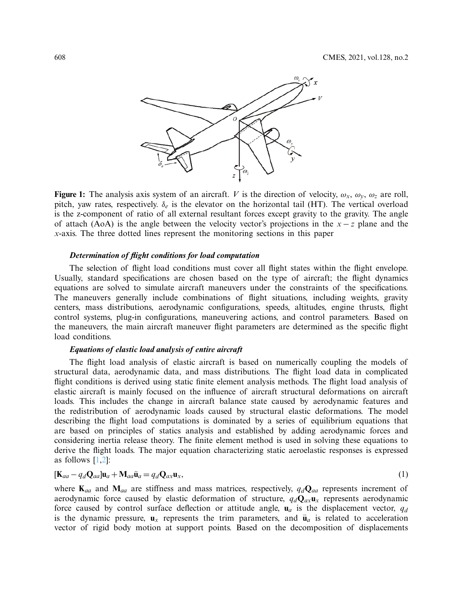

<span id="page-3-0"></span>**Figure 1:** The analysis axis system of an aircraft. *V* is the direction of velocity,  $\omega_x$ ,  $\omega_y$ ,  $\omega_z$  are roll, pitch, yaw rates, respectively. δ*<sup>e</sup>* is the elevator on the horizontal tail (HT). The vertical overload is the z-component of ratio of all external resultant forces except gravity to the gravity. The angle of attach (AoA) is the angle between the velocity vector's projections in the *x* − *z* plane and the *x*-axis. The three dotted lines represent the monitoring sections in this paper

#### *Determination of flight conditions for load computation*

The selection of flight load conditions must cover all flight states within the flight envelope. Usually, standard specifications are chosen based on the type of aircraft; the flight dynamics equations are solved to simulate aircraft maneuvers under the constraints of the specifications. The maneuvers generally include combinations of flight situations, including weights, gravity centers, mass distributions, aerodynamic configurations, speeds, altitudes, engine thrusts, flight control systems, plug-in configurations, maneuvering actions, and control parameters. Based on the maneuvers, the main aircraft maneuver flight parameters are determined as the specific flight load conditions.

#### *Equations of elastic load analysis of entire aircraft*

The flight load analysis of elastic aircraft is based on numerically coupling the models of structural data, aerodynamic data, and mass distributions. The flight load data in complicated flight conditions is derived using static finite element analysis methods. The flight load analysis of elastic aircraft is mainly focused on the influence of aircraft structural deformations on aircraft loads. This includes the change in aircraft balance state caused by aerodynamic features and the redistribution of aerodynamic loads caused by structural elastic deformations. The model describing the flight load computations is dominated by a series of equilibrium equations that are based on principles of statics analysis and established by adding aerodynamic forces and considering inertia release theory. The finite element method is used in solving these equations to derive the flight loads. The major equation characterizing static aeroelastic responses is expressed as follows  $[1,2]$  $[1,2]$  $[1,2]$ :

<span id="page-3-1"></span>
$$
[\mathbf{K}_{aa} - q_d \mathbf{Q}_{aa}] \mathbf{u}_a + \mathbf{M}_{aa} \ddot{\mathbf{u}}_a = q_d \mathbf{Q}_{ax} \mathbf{u}_x,\tag{1}
$$

where  $\mathbf{K}_{aa}$  and  $\mathbf{M}_{aa}$  are stiffness and mass matrices, respectively,  $q_d \mathbf{Q}_{aa}$  represents increment of aerodynamic force caused by elastic deformation of structure,  $q_d\mathbf{Q}_{ax}\mathbf{u}_x$  represents aerodynamic force caused by control surface deflection or attitude angle,  $\mathbf{u}_a$  is the displacement vector,  $q_d$ is the dynamic pressure,  $\mathbf{u}_x$  represents the trim parameters, and  $\ddot{\mathbf{u}}_a$  is related to acceleration vector of rigid body motion at support points. Based on the decomposition of displacements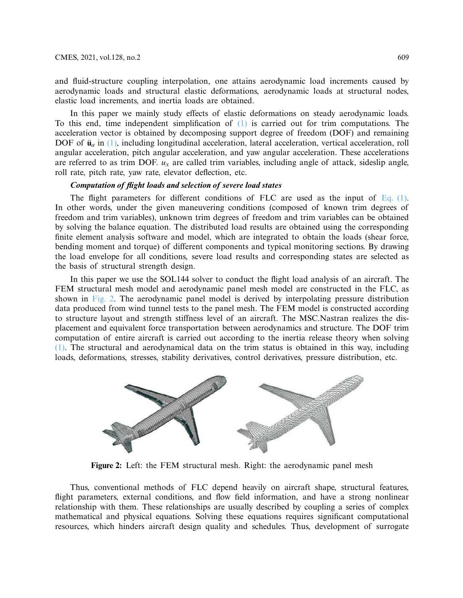and fluid-structure coupling interpolation, one attains aerodynamic load increments caused by aerodynamic loads and structural elastic deformations, aerodynamic loads at structural nodes, elastic load increments, and inertia loads are obtained.

In this paper we mainly study effects of elastic deformations on steady aerodynamic loads. To this end, time independent simplification of [\(1\)](#page-3-1) is carried out for trim computations. The acceleration vector is obtained by decomposing support degree of freedom (DOF) and remaining DOF of  $\ddot{u}_a$  in [\(1\),](#page-3-1) including longitudinal acceleration, lateral acceleration, vertical acceleration, roll angular acceleration, pitch angular acceleration, and yaw angular acceleration. These accelerations are referred to as trim DOF.  $u_x$  are called trim variables, including angle of attack, sideslip angle, roll rate, pitch rate, yaw rate, elevator deflection, etc.

## *Computation of flight loads and selection of severe load states*

The flight parameters for different conditions of FLC are used as the input of Eq.  $(1)$ . In other words, under the given maneuvering conditions (composed of known trim degrees of freedom and trim variables), unknown trim degrees of freedom and trim variables can be obtained by solving the balance equation. The distributed load results are obtained using the corresponding finite element analysis software and model, which are integrated to obtain the loads (shear force, bending moment and torque) of different components and typical monitoring sections. By drawing the load envelope for all conditions, severe load results and corresponding states are selected as the basis of structural strength design.

In this paper we use the SOL144 solver to conduct the flight load analysis of an aircraft. The FEM structural mesh model and aerodynamic panel mesh model are constructed in the FLC, as shown in [Fig. 2.](#page-4-0) The aerodynamic panel model is derived by interpolating pressure distribution data produced from wind tunnel tests to the panel mesh. The FEM model is constructed according to structure layout and strength stiffness level of an aircraft. The MSC.Nastran realizes the displacement and equivalent force transportation between aerodynamics and structure. The DOF trim computation of entire aircraft is carried out according to the inertia release theory when solving [\(1\).](#page-3-1) The structural and aerodynamical data on the trim status is obtained in this way, including loads, deformations, stresses, stability derivatives, control derivatives, pressure distribution, etc.



<span id="page-4-0"></span>**Figure 2:** Left: the FEM structural mesh. Right: the aerodynamic panel mesh

Thus, conventional methods of FLC depend heavily on aircraft shape, structural features, flight parameters, external conditions, and flow field information, and have a strong nonlinear relationship with them. These relationships are usually described by coupling a series of complex mathematical and physical equations. Solving these equations requires significant computational resources, which hinders aircraft design quality and schedules. Thus, development of surrogate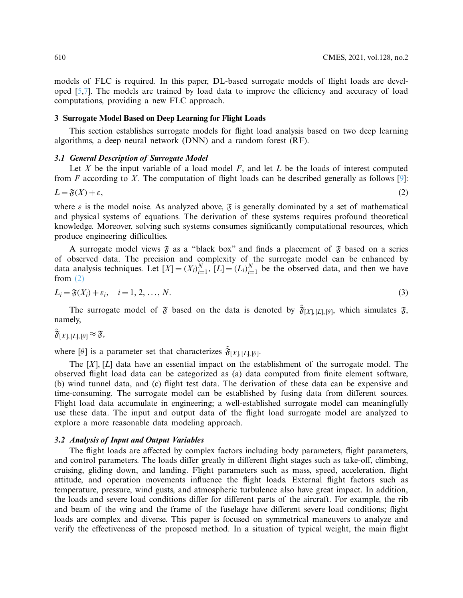models of FLC is required. In this paper, DL-based surrogate models of flight loads are developed [\[5](#page-15-11)[,7\]](#page-15-4). The models are trained by load data to improve the efficiency and accuracy of load computations, providing a new FLC approach.

#### **3 Surrogate Model Based on Deep Learning for Flight Loads**

This section establishes surrogate models for flight load analysis based on two deep learning algorithms, a deep neural network (DNN) and a random forest (RF).

#### *3.1 General Description of Surrogate Model*

Let *X* be the input variable of a load model *F*, and let *L* be the loads of interest computed from *F* according to *X*. The computation of flight loads can be described generally as follows [\[9](#page-15-6)]:

<span id="page-5-0"></span>
$$
L = \mathfrak{F}(X) + \varepsilon,\tag{2}
$$

where  $\varepsilon$  is the model noise. As analyzed above,  $\mathfrak F$  is generally dominated by a set of mathematical and physical systems of equations. The derivation of these systems requires profound theoretical knowledge. Moreover, solving such systems consumes significantly computational resources, which produce engineering difficulties.

A surrogate model views  $\mathfrak F$  as a "black box" and finds a placement of  $\mathfrak F$  based on a series of observed data. The precision and complexity of the surrogate model can be enhanced by data analysis techniques. Let  $[X] = (X_i)_{i=1}^N$ ,  $[L] = (L_i)_{i=1}^N$  be the observed data, and then we have from  $(2)$ 

$$
L_i = \mathfrak{F}(X_i) + \varepsilon_i, \quad i = 1, 2, \dots, N. \tag{3}
$$

The surrogate model of  $\tilde{\mathfrak{F}}$  based on the data is denoted by  $\tilde{\mathfrak{F}}_{[X],[L],[\theta]}$ , which simulates  $\tilde{\mathfrak{F}}$ , namely,

$$
\widetilde{\mathfrak{F}}[X],[L],[\theta] \approx \mathfrak{F},
$$

where  $[\theta]$  is a parameter set that characterizes  $\tilde{\mathfrak{F}}_{[X],[L],[\theta]}$ .

The [*X*], [*L*] data have an essential impact on the establishment of the surrogate model. The observed flight load data can be categorized as (a) data computed from finite element software, (b) wind tunnel data, and (c) flight test data. The derivation of these data can be expensive and time-consuming. The surrogate model can be established by fusing data from different sources. Flight load data accumulate in engineering; a well-established surrogate model can meaningfully use these data. The input and output data of the flight load surrogate model are analyzed to explore a more reasonable data modeling approach.

## *3.2 Analysis of Input and Output Variables*

The flight loads are affected by complex factors including body parameters, flight parameters, and control parameters. The loads differ greatly in different flight stages such as take-off, climbing, cruising, gliding down, and landing. Flight parameters such as mass, speed, acceleration, flight attitude, and operation movements influence the flight loads. External flight factors such as temperature, pressure, wind gusts, and atmospheric turbulence also have great impact. In addition, the loads and severe load conditions differ for different parts of the aircraft. For example, the rib and beam of the wing and the frame of the fuselage have different severe load conditions; flight loads are complex and diverse. This paper is focused on symmetrical maneuvers to analyze and verify the effectiveness of the proposed method. In a situation of typical weight, the main flight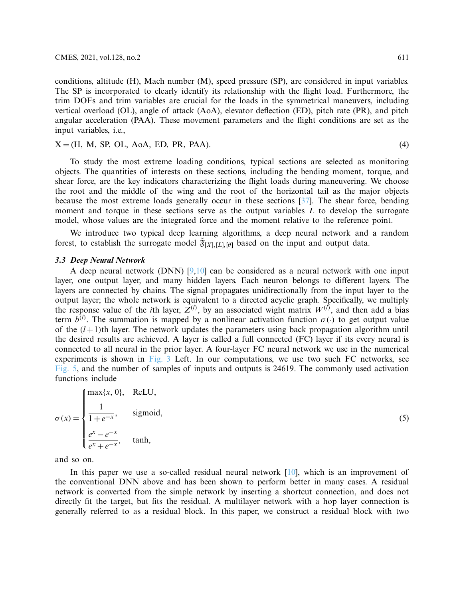conditions, altitude (H), Mach number (M), speed pressure (SP), are considered in input variables. The SP is incorporated to clearly identify its relationship with the flight load. Furthermore, the trim DOFs and trim variables are crucial for the loads in the symmetrical maneuvers, including vertical overload (OL), angle of attack (AoA), elevator deflection (ED), pitch rate (PR), and pitch angular acceleration (PAA). These movement parameters and the flight conditions are set as the input variables, i.e.,

<span id="page-6-0"></span>
$$
X = (H, M, SP, OL, AoA, ED, PR, PAA). \tag{4}
$$

To study the most extreme loading conditions, typical sections are selected as monitoring objects. The quantities of interests on these sections, including the bending moment, torque, and shear force, are the key indicators characterizing the flight loads during maneuvering. We choose the root and the middle of the wing and the root of the horizontal tail as the major objects because the most extreme loads generally occur in these sections [\[37](#page-16-10)]. The shear force, bending moment and torque in these sections serve as the output variables *L* to develop the surrogate model, whose values are the integrated force and the moment relative to the reference point.

We introduce two typical deep learning algorithms, a deep neural network and a random forest, to establish the surrogate model  $\tilde{\mathfrak{F}}_{[X],[L],[\theta]}$  based on the input and output data.

#### *3.3 Deep Neural Network*

A deep neural network (DNN)  $[9,10]$  $[9,10]$  $[9,10]$  can be considered as a neural network with one input layer, one output layer, and many hidden layers. Each neuron belongs to different layers. The layers are connected by chains. The signal propagates unidirectionally from the input layer to the output layer; the whole network is equivalent to a directed acyclic graph. Specifically, we multiply the response value of the *i*th layer,  $Z^{(l)}$ , by an associated wight matrix  $W^{(l)}$ , and then add a bias term  $b^{(l)}$ . The summation is mapped by a nonlinear activation function  $\sigma(\cdot)$  to get output value of the  $(l+1)$ th layer. The network updates the parameters using back propagation algorithm until the desired results are achieved. A layer is called a full connected (FC) layer if its every neural is connected to all neural in the prior layer. A four-layer FC neural network we use in the numerical experiments is shown in [Fig. 3](#page-7-0) Left. In our computations, we use two such FC networks, see [Fig. 5,](#page-11-0) and the number of samples of inputs and outputs is 24619. The commonly used activation functions include

$$
\sigma(x) = \begin{cases} \max\{x, 0\}, & \text{ReLU}, \\ \frac{1}{1 + e^{-x}}, & \text{sigmoid}, \\ \frac{e^{x} - e^{-x}}{e^{x} + e^{-x}}, & \text{tanh}, \end{cases}
$$

(5)

and so on.

In this paper we use a so-called residual neural network [\[10\]](#page-15-7), which is an improvement of the conventional DNN above and has been shown to perform better in many cases. A residual network is converted from the simple network by inserting a shortcut connection, and does not directly fit the target, but fits the residual. A multilayer network with a hop layer connection is generally referred to as a residual block. In this paper, we construct a residual block with two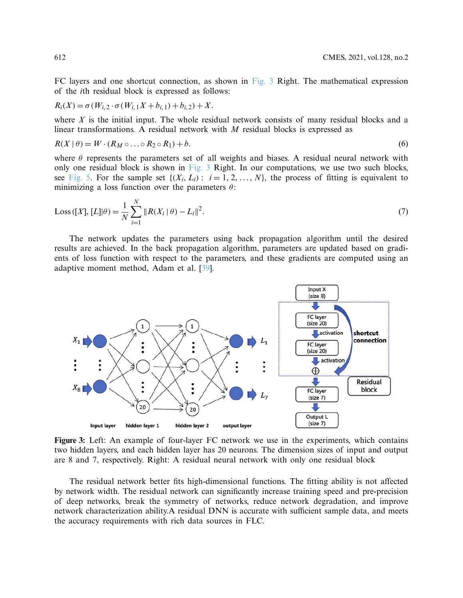FC layers and one shortcut connection, as shown in [Fig. 3](#page-7-0) Right. The mathematical expression of the *i*th residual block is expressed as follows:

$$
R_i(X) = \sigma(W_{i,2} \cdot \sigma(W_{i,1}X + b_{i,1}) + b_{i,2}) + X.
$$

where *X* is the initial input. The whole residual network consists of many residual blocks and a linear transformations. A residual network with *M* residual blocks is expressed as

$$
R(X | \theta) = W \cdot (R_M \circ \dots \circ R_2 \circ R_1) + b. \tag{6}
$$

where  $\theta$  represents the parameters set of all weights and biases. A residual neural network with only one residual block is shown in [Fig. 3](#page-7-0) Right. In our computations, we use two such blocks, see [Fig. 5.](#page-11-0) For the sample set  $\{(X_i, L_i): i = 1, 2, ..., N\}$ , the process of fitting is equivalent to minimizing a loss function over the parameters  $\theta$ :

<span id="page-7-1"></span>Loss ([X], [L]|\theta) = 
$$
\frac{1}{N} \sum_{i=1}^{N} ||R(X_i | \theta) - L_i||^2
$$
. (7)

The network updates the parameters using back propagation algorithm until the desired results are achieved. In the back propagation algorithm, parameters are updated based on gradients of loss function with respect to the parameters, and these gradients are computed using an adaptive moment method, Adam et al. [\[39\]](#page-16-12).



<span id="page-7-0"></span>**Figure 3:** Left: An example of four-layer FC network we use in the experiments, which contains two hidden layers, and each hidden layer has 20 neurons. The dimension sizes of input and output are 8 and 7, respectively. Right: A residual neural network with only one residual block

The residual network better fits high-dimensional functions. The fitting ability is not affected by network width. The residual network can significantly increase training speed and pre-precision of deep networks, break the symmetry of networks, reduce network degradation, and improve network characterization ability.A residual DNN is accurate with sufficient sample data, and meets the accuracy requirements with rich data sources in FLC.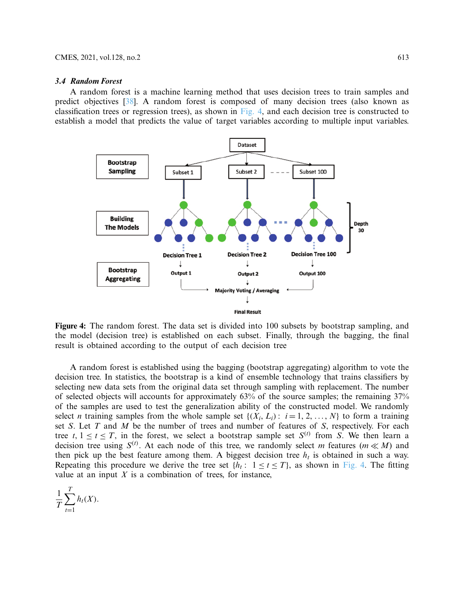#### *3.4 Random Forest*

A random forest is a machine learning method that uses decision trees to train samples and predict objectives [\[38\]](#page-16-11). A random forest is composed of many decision trees (also known as classification trees or regression trees), as shown in [Fig. 4,](#page-8-0) and each decision tree is constructed to establish a model that predicts the value of target variables according to multiple input variables.



<span id="page-8-0"></span>**Figure 4:** The random forest. The data set is divided into 100 subsets by bootstrap sampling, and the model (decision tree) is established on each subset. Finally, through the bagging, the final result is obtained according to the output of each decision tree

A random forest is established using the bagging (bootstrap aggregating) algorithm to vote the decision tree. In statistics, the bootstrap is a kind of ensemble technology that trains classifiers by selecting new data sets from the original data set through sampling with replacement. The number of selected objects will accounts for approximately 63% of the source samples; the remaining 37% of the samples are used to test the generalization ability of the constructed model. We randomly select *n* training samples from the whole sample set  $\{(X_i, L_i): i = 1, 2, ..., N\}$  to form a training set *S*. Let *T* and *M* be the number of trees and number of features of *S*, respectively. For each tree *t*,  $1 \le t \le T$ , in the forest, we select a bootstrap sample set  $S^{(t)}$  from *S*. We then learn a decision tree using  $S^{(t)}$ . At each node of this tree, we randomly select *m* features ( $m \ll M$ ) and then pick up the best feature among them. A biggest decision tree  $h_t$  is obtained in such a way. Repeating this procedure we derive the tree set  $\{h_t: 1 \le t \le T\}$ , as shown in [Fig. 4.](#page-8-0) The fitting value at an input  $X$  is a combination of trees, for instance,

$$
\frac{1}{T}\sum_{t=1}^T h_t(X).
$$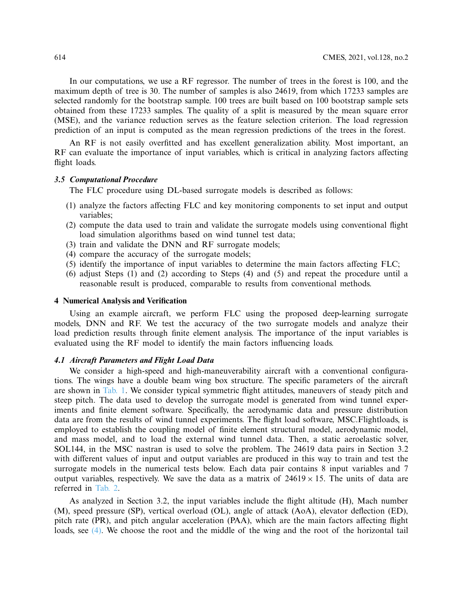In our computations, we use a RF regressor. The number of trees in the forest is 100, and the maximum depth of tree is 30. The number of samples is also 24619, from which 17233 samples are selected randomly for the bootstrap sample. 100 trees are built based on 100 bootstrap sample sets obtained from these 17233 samples. The quality of a split is measured by the mean square error (MSE), and the variance reduction serves as the feature selection criterion. The load regression prediction of an input is computed as the mean regression predictions of the trees in the forest.

An RF is not easily overfitted and has excellent generalization ability. Most important, an RF can evaluate the importance of input variables, which is critical in analyzing factors affecting flight loads.

## *3.5 Computational Procedure*

The FLC procedure using DL-based surrogate models is described as follows:

- (1) analyze the factors affecting FLC and key monitoring components to set input and output variables;
- (2) compute the data used to train and validate the surrogate models using conventional flight load simulation algorithms based on wind tunnel test data;
- (3) train and validate the DNN and RF surrogate models;
- (4) compare the accuracy of the surrogate models;
- (5) identify the importance of input variables to determine the main factors affecting FLC;
- (6) adjust Steps (1) and (2) according to Steps (4) and (5) and repeat the procedure until a reasonable result is produced, comparable to results from conventional methods.

#### **4 Numerical Analysis and Verification**

Using an example aircraft, we perform FLC using the proposed deep-learning surrogate models, DNN and RF. We test the accuracy of the two surrogate models and analyze their load prediction results through finite element analysis. The importance of the input variables is evaluated using the RF model to identify the main factors influencing loads.

#### *4.1 Aircraft Parameters and Flight Load Data*

We consider a high-speed and high-maneuverability aircraft with a conventional configurations. The wings have a double beam wing box structure. The specific parameters of the aircraft are shown in [Tab. 1.](#page-10-0) We consider typical symmetric flight attitudes, maneuvers of steady pitch and steep pitch. The data used to develop the surrogate model is generated from wind tunnel experiments and finite element software. Specifically, the aerodynamic data and pressure distribution data are from the results of wind tunnel experiments. The flight load software, MSC.Flightloads, is employed to establish the coupling model of finite element structural model, aerodynamic model, and mass model, and to load the external wind tunnel data. Then, a static aeroelastic solver, SOL144, in the MSC nastran is used to solve the problem. The 24619 data pairs in Section 3.2 with different values of input and output variables are produced in this way to train and test the surrogate models in the numerical tests below. Each data pair contains 8 input variables and 7 output variables, respectively. We save the data as a matrix of  $24619 \times 15$ . The units of data are referred in [Tab. 2.](#page-10-1)

As analyzed in Section 3.2, the input variables include the flight altitude (H), Mach number (M), speed pressure (SP), vertical overload (OL), angle of attack (AoA), elevator deflection (ED), pitch rate (PR), and pitch angular acceleration (PAA), which are the main factors affecting flight loads, see [\(4\).](#page-6-0) We choose the root and the middle of the wing and the root of the horizontal tail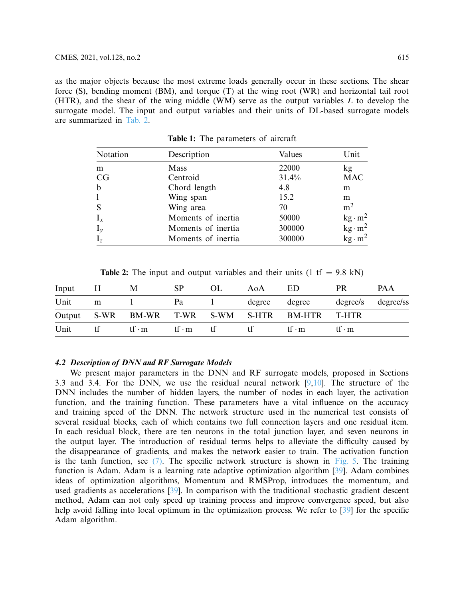as the major objects because the most extreme loads generally occur in these sections. The shear force (S), bending moment (BM), and torque (T) at the wing root (WR) and horizontal tail root (HTR), and the shear of the wing middle (WM) serve as the output variables *L* to develop the surrogate model. The input and output variables and their units of DL-based surrogate models are summarized in [Tab. 2.](#page-10-1)

| Notation    | Description        | Values | Unit            |  |
|-------------|--------------------|--------|-----------------|--|
| m           | Mass               | 22000  | kg <sub>2</sub> |  |
| CG          | Centroid           | 31.4%  | <b>MAC</b>      |  |
| $\mathbf b$ | Chord length       | 4.8    | m               |  |
| 1           | Wing span          | 15.2   | m               |  |
| S           | Wing area          | 70     | m <sup>2</sup>  |  |
| $I_x$       | Moments of inertia | 50000  | $kg \cdot m^2$  |  |
| $I_y$       | Moments of inertia | 300000 | $kg \cdot m^2$  |  |
| $I_z$       | Moments of inertia | 300000 | $kg \cdot m^2$  |  |

<span id="page-10-0"></span>**Table 1:** The parameters of aircraft

<span id="page-10-1"></span>**Table 2:** The input and output variables and their units  $(1 \text{ tf} = 9.8 \text{ kN})$ 

| Input | H  | M      | <b>SP</b>                    | OL. | AoA           | ED                                             | <b>PR</b>                      | PA A               |
|-------|----|--------|------------------------------|-----|---------------|------------------------------------------------|--------------------------------|--------------------|
| Unit  | m  |        | Pa                           |     | degree degree |                                                |                                | degree/s degree/ss |
|       |    |        |                              |     |               | Output S-WR BM-WR T-WR S-WM S-HTR BM-HTR T-HTR |                                |                    |
| Unit  | tt | tf ⋅ m | $\mathsf{tf}\cdot\mathsf{m}$ | .tt | Τt            | tf∙m                                           | $\mathsf{tf} \cdot \mathsf{m}$ |                    |

## *4.2 Description of DNN and RF Surrogate Models*

We present major parameters in the DNN and RF surrogate models, proposed in Sections 3.3 and 3.4. For the DNN, we use the residual neural network  $[9,10]$  $[9,10]$  $[9,10]$ . The structure of the DNN includes the number of hidden layers, the number of nodes in each layer, the activation function, and the training function. These parameters have a vital influence on the accuracy and training speed of the DNN. The network structure used in the numerical test consists of several residual blocks, each of which contains two full connection layers and one residual item. In each residual block, there are ten neurons in the total junction layer, and seven neurons in the output layer. The introduction of residual terms helps to alleviate the difficulty caused by the disappearance of gradients, and makes the network easier to train. The activation function is the tanh function, see  $(7)$ . The specific network structure is shown in [Fig. 5.](#page-11-0) The training function is Adam. Adam is a learning rate adaptive optimization algorithm [\[39\]](#page-16-12). Adam combines ideas of optimization algorithms, Momentum and RMSProp, introduces the momentum, and used gradients as accelerations [\[39\]](#page-16-12). In comparison with the traditional stochastic gradient descent method, Adam can not only speed up training process and improve convergence speed, but also help avoid falling into local optimum in the optimization process. We refer to [\[39\]](#page-16-12) for the specific Adam algorithm.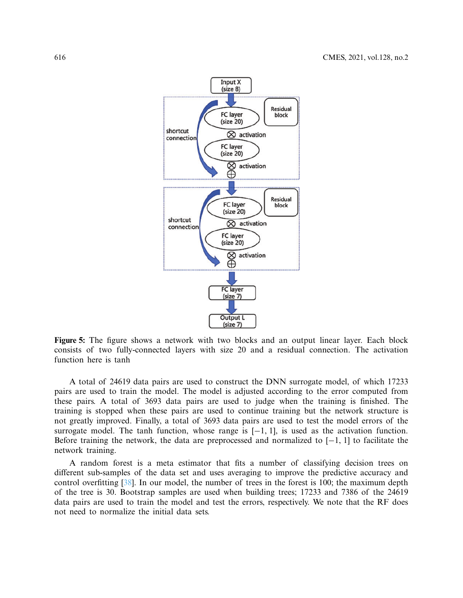

<span id="page-11-0"></span>**Figure 5:** The figure shows a network with two blocks and an output linear layer. Each block consists of two fully-connected layers with size 20 and a residual connection. The activation function here is tanh

A total of 24619 data pairs are used to construct the DNN surrogate model, of which 17233 pairs are used to train the model. The model is adjusted according to the error computed from these pairs. A total of 3693 data pairs are used to judge when the training is finished. The training is stopped when these pairs are used to continue training but the network structure is not greatly improved. Finally, a total of 3693 data pairs are used to test the model errors of the surrogate model. The tanh function, whose range is  $[-1, 1]$ , is used as the activation function. Before training the network, the data are preprocessed and normalized to [−1, 1] to facilitate the network training.

A random forest is a meta estimator that fits a number of classifying decision trees on different sub-samples of the data set and uses averaging to improve the predictive accuracy and control overfitting [\[38](#page-16-11)]. In our model, the number of trees in the forest is 100; the maximum depth of the tree is 30. Bootstrap samples are used when building trees; 17233 and 7386 of the 24619 data pairs are used to train the model and test the errors, respectively. We note that the RF does not need to normalize the initial data sets.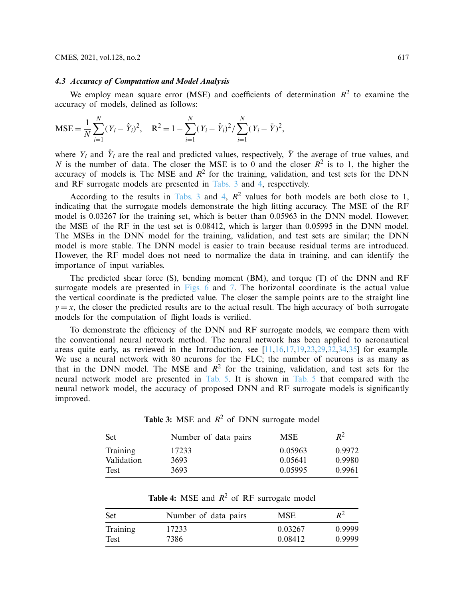#### *4.3 Accuracy of Computation and Model Analysis*

We employ mean square error (MSE) and coefficients of determination  $R^2$  to examine the accuracy of models, defined as follows:

$$
MSE = \frac{1}{N} \sum_{i=1}^{N} (Y_i - \hat{Y}_i)^2, \quad R^2 = 1 - \sum_{i=1}^{N} (Y_i - \hat{Y}_i)^2 / \sum_{i=1}^{N} (Y_i - \bar{Y})^2,
$$

where  $Y_i$  and  $\hat{Y}_i$  are the real and predicted values, respectively,  $\overline{Y}$  the average of true values, and *N* is the number of data. The closer the MSE is to 0 and the closer  $R^2$  is to 1, the higher the accuracy of models is. The MSE and  $R^2$  for the training, validation, and test sets for the DNN and RF surrogate models are presented in [Tabs. 3](#page-12-0) and [4,](#page-12-1) respectively.

According to the results in [Tabs. 3](#page-12-0) and [4,](#page-12-1)  $R^2$  values for both models are both close to 1, indicating that the surrogate models demonstrate the high fitting accuracy. The MSE of the RF model is 0.03267 for the training set, which is better than 0.05963 in the DNN model. However, the MSE of the RF in the test set is 0.08412, which is larger than 0.05995 in the DNN model. The MSEs in the DNN model for the training, validation, and test sets are similar; the DNN model is more stable. The DNN model is easier to train because residual terms are introduced. However, the RF model does not need to normalize the data in training, and can identify the importance of input variables.

The predicted shear force (S), bending moment (BM), and torque (T) of the DNN and RF surrogate models are presented in [Figs. 6](#page-13-0) and [7.](#page-13-1) The horizontal coordinate is the actual value the vertical coordinate is the predicted value. The closer the sample points are to the straight line  $y = x$ , the closer the predicted results are to the actual result. The high accuracy of both surrogate models for the computation of flight loads is verified.

To demonstrate the efficiency of the DNN and RF surrogate models, we compare them with the conventional neural network method. The neural network has been applied to aeronautical areas quite early, as reviewed in the Introduction, see  $[11,16,17,19,23,29,32,34,35]$  $[11,16,17,19,23,29,32,34,35]$  $[11,16,17,19,23,29,32,34,35]$  $[11,16,17,19,23,29,32,34,35]$  $[11,16,17,19,23,29,32,34,35]$  $[11,16,17,19,23,29,32,34,35]$  $[11,16,17,19,23,29,32,34,35]$  $[11,16,17,19,23,29,32,34,35]$  $[11,16,17,19,23,29,32,34,35]$  $[11,16,17,19,23,29,32,34,35]$  for example. We use a neural network with 80 neurons for the FLC; the number of neurons is as many as that in the DNN model. The MSE and  $R^2$  for the training, validation, and test sets for the neural network model are presented in [Tab. 5.](#page-14-0) It is shown in [Tab. 5](#page-14-0) that compared with the neural network model, the accuracy of proposed DNN and RF surrogate models is significantly improved.

Set Number of data pairs MSE  $R^2$ Training 17233 0.05963 0.9972 Validation 3693 0.05641 0.9980 Test 3693 0.05995 0.9961

<span id="page-12-0"></span>**Table 3:** MSE and  $R^2$  of DNN surrogate model

<span id="page-12-1"></span>**Table 4:** MSE and  $R^2$  of RF surrogate model

| <b>Set</b> | Number of data pairs | MSE     | $R^2$  |  |
|------------|----------------------|---------|--------|--|
| Training   | 17233                | 0.03267 | 0.9999 |  |
| Test       | 7386                 | 0.08412 | 0.9999 |  |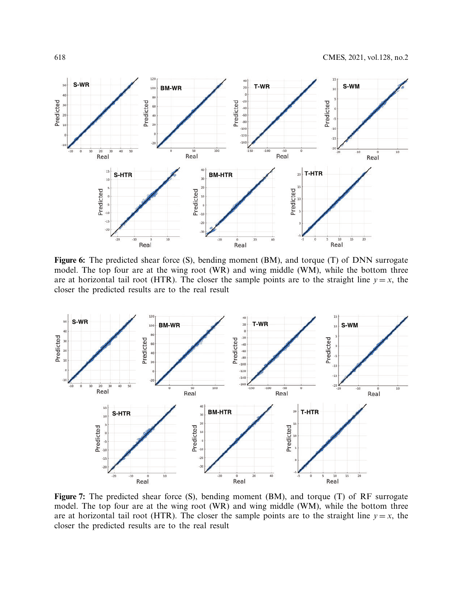

<span id="page-13-0"></span>Figure 6: The predicted shear force (S), bending moment (BM), and torque (T) of DNN surrogate model. The top four are at the wing root (WR) and wing middle (WM), while the bottom three are at horizontal tail root (HTR). The closer the sample points are to the straight line  $y = x$ , the closer the predicted results are to the real result



<span id="page-13-1"></span>Figure 7: The predicted shear force (S), bending moment (BM), and torque (T) of RF surrogate model. The top four are at the wing root (WR) and wing middle (WM), while the bottom three are at horizontal tail root (HTR). The closer the sample points are to the straight line  $y = x$ , the closer the predicted results are to the real result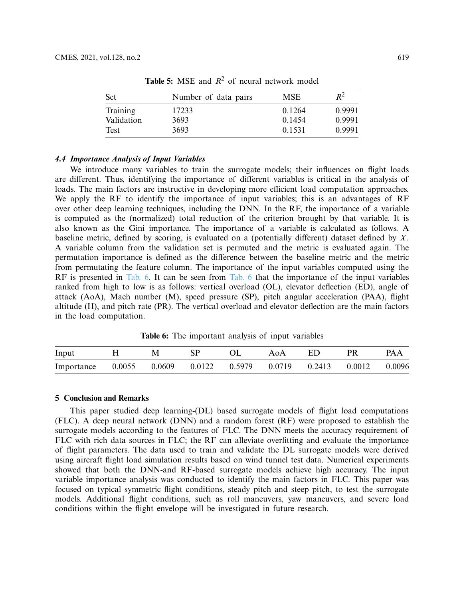| <b>Set</b> | Number of data pairs | <b>MSE</b> | $R^2$  |  |
|------------|----------------------|------------|--------|--|
| Training   | 17233                | 0.1264     | 0.9991 |  |
| Validation | 3693                 | 0.1454     | 0.9991 |  |
| Test       | 3693                 | 0.1531     | 0.9991 |  |

<span id="page-14-0"></span>**Table 5:** MSE and  $R^2$  of neural network model

## *4.4 Importance Analysis of Input Variables*

We introduce many variables to train the surrogate models; their influences on flight loads are different. Thus, identifying the importance of different variables is critical in the analysis of loads. The main factors are instructive in developing more efficient load computation approaches. We apply the RF to identify the importance of input variables; this is an advantages of RF over other deep learning techniques, including the DNN. In the RF, the importance of a variable is computed as the (normalized) total reduction of the criterion brought by that variable. It is also known as the Gini importance. The importance of a variable is calculated as follows. A baseline metric, defined by scoring, is evaluated on a (potentially different) dataset defined by *X*. A variable column from the validation set is permuted and the metric is evaluated again. The permutation importance is defined as the difference between the baseline metric and the metric from permutating the feature column. The importance of the input variables computed using the RF is presented in [Tab. 6.](#page-14-1) It can be seen from [Tab. 6](#page-14-1) that the importance of the input variables ranked from high to low is as follows: vertical overload (OL), elevator deflection (ED), angle of attack (AoA), Mach number (M), speed pressure (SP), pitch angular acceleration (PAA), flight altitude (H), and pitch rate (PR). The vertical overload and elevator deflection are the main factors in the load computation.

<span id="page-14-1"></span>**Table 6:** The important analysis of input variables

| Input                                  | M | SP | AoA | -ED. | PR                         | <b>PAA</b> |
|----------------------------------------|---|----|-----|------|----------------------------|------------|
| Importance 0.0055 0.0609 0.0122 0.5979 |   |    |     |      | $0.0719$ $0.2413$ $0.0012$ | 0.0096     |

#### **5 Conclusion and Remarks**

This paper studied deep learning-(DL) based surrogate models of flight load computations (FLC). A deep neural network (DNN) and a random forest (RF) were proposed to establish the surrogate models according to the features of FLC. The DNN meets the accuracy requirement of FLC with rich data sources in FLC; the RF can alleviate overfitting and evaluate the importance of flight parameters. The data used to train and validate the DL surrogate models were derived using aircraft flight load simulation results based on wind tunnel test data. Numerical experiments showed that both the DNN-and RF-based surrogate models achieve high accuracy. The input variable importance analysis was conducted to identify the main factors in FLC. This paper was focused on typical symmetric flight conditions, steady pitch and steep pitch, to test the surrogate models. Additional flight conditions, such as roll maneuvers, yaw maneuvers, and severe load conditions within the flight envelope will be investigated in future research.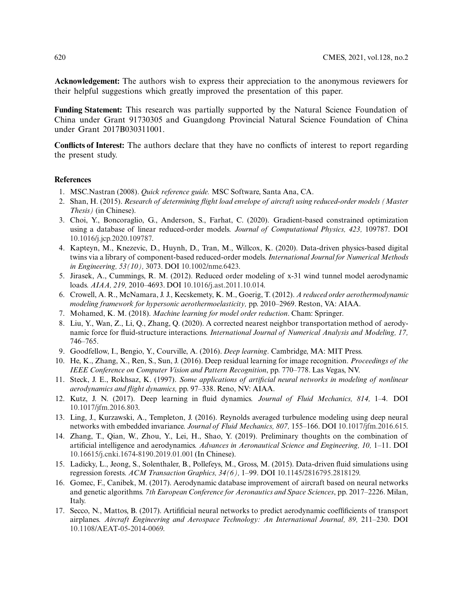**Acknowledgement:** The authors wish to express their appreciation to the anonymous reviewers for their helpful suggestions which greatly improved the presentation of this paper.

**Funding Statement:** This research was partially supported by the Natural Science Foundation of China under Grant 91730305 and Guangdong Provincial Natural Science Foundation of China under Grant 2017B030311001.

**Conflicts of Interest:** The authors declare that they have no conflicts of interest to report regarding the present study.

#### **References**

- <span id="page-15-0"></span>1. MSC.Nastran (2008). *Quick reference guide.* MSC Software, Santa Ana, CA.
- <span id="page-15-1"></span>2. Shan, H. (2015). *Research of determining flight load envelope of aircraft using reduced-order models (Master Thesis)* (in Chinese).
- <span id="page-15-2"></span>3. Choi, Y., Boncoraglio, G., Anderson, S., Farhat, C. (2020). Gradient-based constrained optimization using a database of linear reduced-order models. *Journal of Computational Physics, 423,* 109787. DOI [10.1016/j.jcp.2020.109787.](http://dx.doi.org/10.1016/j.jcp.2020.109787)
- 4. Kapteyn, M., Knezevic, D., Huynh, D., Tran, M., Willcox, K. (2020). Data-driven physics-based digital twins via a library of component-based reduced-order models. *International Journal for Numerical Methods in Engineering, 53(10),* 3073. DOI [10.1002/nme.6423.](http://dx.doi.org/10.1002/nme.6423)
- <span id="page-15-11"></span>5. Jirasek, A., Cummings, R. M. (2012). Reduced order modeling of x-31 wind tunnel model aerodynamic loads. *AIAA, 219,* 2010–4693. DOI [10.1016/j.ast.2011.10.014.](http://dx.doi.org/10.1016/j.ast.2011.10.014)
- <span id="page-15-3"></span>6. Crowell, A. R., McNamara, J. J., Kecskemety, K. M., Goerig, T. (2012). *A reduced order aerothermodynamic modeling framework for hypersonic aerothermoelasticity,* pp. 2010–2969. Reston, VA: AIAA.
- <span id="page-15-4"></span>7. Mohamed, K. M. (2018). *Machine learning for model order reduction*. Cham: Springer.
- <span id="page-15-5"></span>8. Liu, Y., Wan, Z., Li, Q., Zhang, Q. (2020). A corrected nearest neighbor transportation method of aerodynamic force for fluid-structure interactions. *International Journal of Numerical Analysis and Modeling, 17,* 746–765.
- <span id="page-15-6"></span>9. Goodfellow, I., Bengio, Y., Courville, A. (2016). *Deep learning*. Cambridge, MA: MIT Press.
- <span id="page-15-7"></span>10. He, K., Zhang, X., Ren, S., Sun, J. (2016). Deep residual learning for image recognition. *Proceedings of the IEEE Conference on Computer Vision and Pattern Recognition*, pp. 770–778. Las Vegas, NV.
- <span id="page-15-8"></span>11. Steck, J. E., Rokhsaz, K. (1997). *Some applications of artificial neural networks in modeling of nonlinear aerodynamics and flight dynamics,* pp. 97–338. Reno, NV: AIAA.
- 12. Kutz, J. N. (2017). Deep learning in fluid dynamics. *Journal of Fluid Mechanics, 814,* 1–4. DOI [10.1017/jfm.2016.803.](http://dx.doi.org/10.1017/jfm.2016.803)
- 13. Ling, J., Kurzawski, A., Templeton, J. (2016). Reynolds averaged turbulence modeling using deep neural networks with embedded invariance. *Journal of Fluid Mechanics, 807,* 155–166. DOI [10.1017/jfm.2016.615.](http://dx.doi.org/10.1017/jfm.2016.615)
- 14. Zhang, T., Qian, W., Zhou, Y., Lei, H., Shao, Y. (2019). Preliminary thoughts on the combination of artificial intelligence and aerodynamics. *Advances in Aeronautical Science and Engineering, 10,* 1–11. DOI [10.16615/j.cnki.1674-8190.2019.01.001](http://dx.doi.org/10.16615/j.cnki.1674-8190.2019.01.001) (In Chinese).
- 15. Ladicky, L., Jeong, S., Solenthaler, B., Pollefeys, M., Gross, M. (2015). Data-driven fluid simulations using regression forests. *ACM Transaction Graphics, 34(6),* 1–99. DOI [10.1145/2816795.2818129.](http://dx.doi.org/10.1145/2816795.2818129)
- <span id="page-15-9"></span>16. Gomec, F., Canibek, M. (2017). Aerodynamic database improvement of aircraft based on neural networks and genetic algorithms. *7th European Conference for Aeronautics and Space Sciences*, pp. 2017–2226. Milan, Italy.
- <span id="page-15-10"></span>17. Secco, N., Mattos, B. (2017). Artifificial neural networks to predict aerodynamic coeffificients of transport airplanes. *Aircraft Engineering and Aerospace Technology: An International Journal, 89,* 211–230. DOI [10.1108/AEAT-05-2014-0069.](http://dx.doi.org/10.1108/AEAT-05-2014-0069)